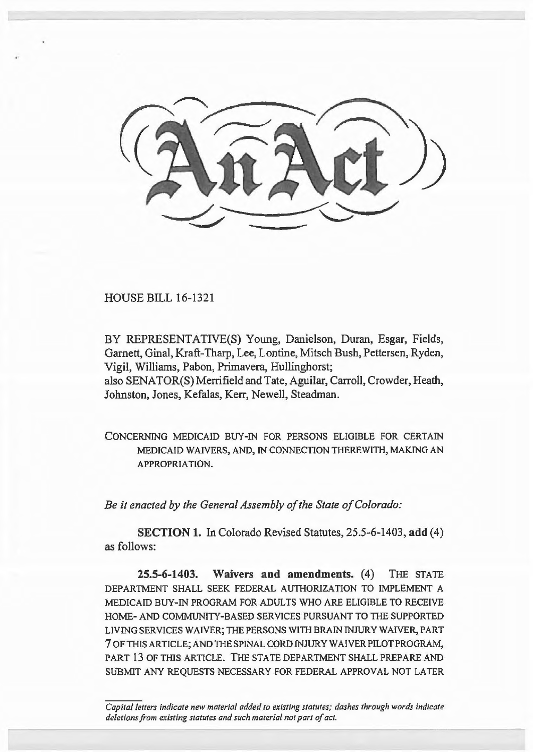

HOUSE BILL 16-1321

BY REPRESENTATIVE(S) Young, Danielson, Duran, Esgar, Fields, Garnett, Ginal, Kraft-Tharp, Lee, Lontine, Mitsch Bush, Pettersen, Ryden, Vigil, Williams, Pabon, Primavera, Hullinghorst; also SENATOR(S) Merrifield and Tate, Aguilar, Carroll, Crowder, Heath, Johnston, Jones, Kefalas, Kerr, Newell, Steadman.

CONCERNING MEDICAID BUY-IN FOR PERSONS ELIGIBLE FOR CERTAIN MEDICAID WAIVERS, AND, IN CONNECTION THEREWITH, MAKING AN APPROPRIATION.

*Be it enacted by the General Assembly of the State of Colorado:* 

**SECTION 1.** In Colorado Revised Statutes, 25.5-6-1403, **add** (4) as follows:

**25.5-6-1403. Waivers and amendments.** (4) THE STATE DEPARTMENT SHALL SEEK FEDERAL AUTHORIZATION TO IMPLEMENT A MEDICAID BUY-IN PROGRAM FOR ADULTS WHO ARE ELIGIBLE TO RECEIVE HOME- AND COMMUNI1Y-BASED SERVICES PURSUANT TO THE SUPPORTED LIVING SERVICES WAIVER; THE PERSONS WITH BRAIN INJURY WAIVER, PART 7 OF THIS ARTICLE; AND THE SPINAL CORD INJURY WAIVER PILOT PROGRAM, PART 13 OF THIS ARTICLE. THE STATE DEPARTMENT SHALL PREPARE AND SUBMIT ANY REQUESTS NECESSARY FOR FEDERAL APPROVAL NOT LATER

*Capital letters indicate new material added to existing statutes; dashes through words indicate deletions from existing statutes and such material not part of act.*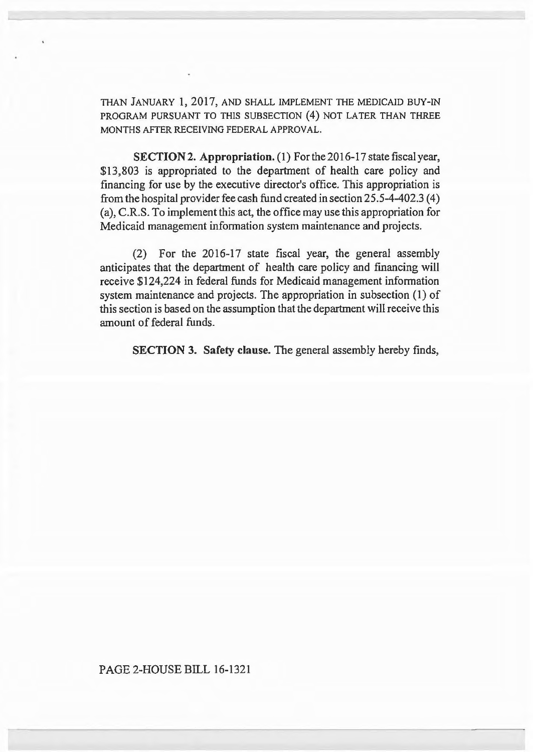THAN JANUARY 1, 2017, AND SHALL IMPLEMENT THE MEDICAID BUY-IN PROGRAM PURSUANT TO THIS SUBSECTION (4) NOT LATER THAN THREE MONTHS AFTER RECEIVING FEDERAL APPROVAL.

SECTION 2. Appropriation. (1) For the 2016-17 state fiscal year, \$13,803 is appropriated to the department of health care policy and financing for use by the executive director's office. This appropriation is from the hospital provider fee cash fund created in section 25.5-4-402.3 ( 4) (a), C.R.S. To implement this act, the office may use this appropriation for Medicaid management information system maintenance and projects.

(2) For the 2016-17 state fiscal year, the general assembly anticipates that the department of health care policy and fmancing will receive \$124,224 in federal funds for Medicaid management information system maintenance and projects. The appropriation in subsection (1) of this section is based on the assumption that the department will receive this amount of federal funds.

SECTION 3. Safety clause. The general assembly hereby finds,

## PAGE 2-HOUSE BILL 16-1321